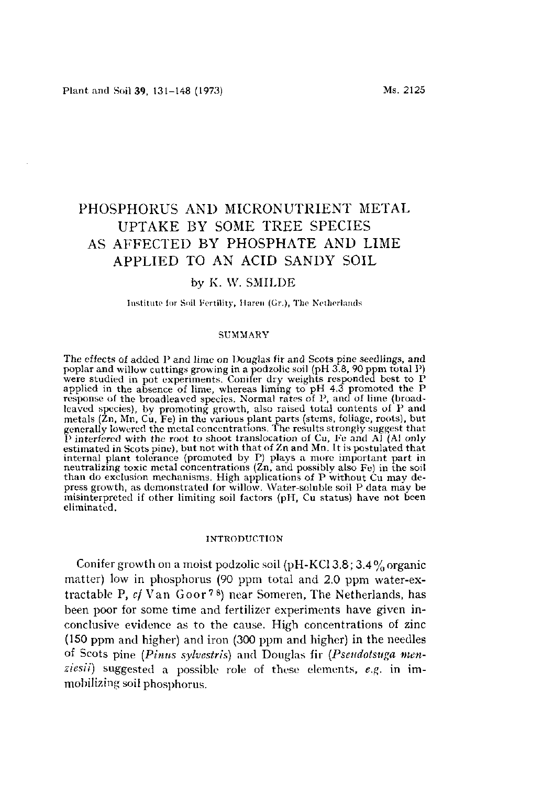# PHOSPHORUS AND MICRONUTRIENT METAL UPTAKE BY SOME TREE SPECIES AS AFFECTED BY PHOSPHATE AND LIME APPLIED TO AN ACID SANDY SOIL

# by K. W. SMILDE

Institute for Soil Fertility, Haren (Gr.), The Netherlands

### SUMMARY

The effects of added P and lime on Douglas fir and Scots pine seedlings, and poplar and willow cuttings growing in a podzolic soil (pH  $3.8$ , 90 ppm  $\,$ were studied in pot experiments. Conifer dry weights responded bes applied in the absence of lime, whereas liming to pH  $4.3$  promoted response of the broadleaved species. Normal rates of P, and of lime ( leaved species), by promoting growth, also raised total contents of metals  $(\bar{z}_n, M_n, C_u, F_e)$  in the various plant parts (stems, foliage, roots), but if generally lowered the metal concentrations. The results strongly suggest P interfered with the root to shoot translocation of Cu, Fe and Al estimated in Scots pine), but not with that of  $Zn$  and  $Mn$ . It is postulated in Scots pine), but not with that of  $Zn$  and  $Mn$ . internal plant tolerance (promoted by P) plays a more important  $\mu$ neutralizing toxic metal concentrations ( $\ell$ n, and possibly also Fe) in the solution than do exclusion mechanisms. High applications of P without  $\tilde{C}u$  may press growth, as demonstrated for willow. Water-soluble soil P data n misinterpreted if other limiting soil factors (pH, Cu status) have no eliminated.

#### INTRODUCTION

Conifer growth on a moist podzolic soil (pH-KCl 3.8; 3.4% organic matter) low in phosphorus (90 ppm total and 2.0 ppm water-extractable P, *cf* Van Goor<sup>78</sup>) near Someren, The Netherland been poor for some time and fertilizer experiments have given inconclusive evidence as to the cause. High concentrations of zinc (150 ppm and higher) and iron (300 ppm and higher) in the needles of Scots pine *[Pinus sylvestris)* and Douglas fir *(Pseudotsuga menziesu)* suggested a possible role of these elements, *e.g.* in immobilizing soil phosphorus.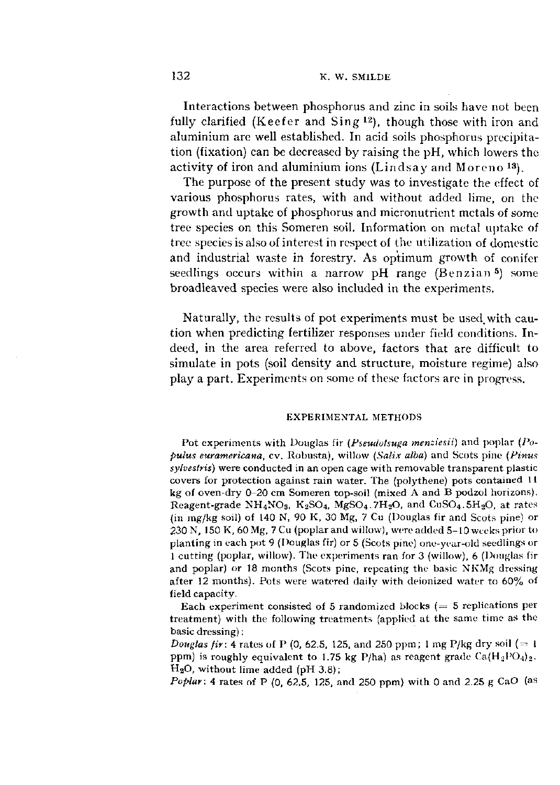Interactions between phosphorus and zinc in soils have not been fully clarified (Keefer and Sing  $12$ ), though those with iron and aluminium are well established. In acid soils phosphorus precipitation (fixation) can be decreased by raising the pH, which lowers the activity of iron and aluminium ions (Lindsay and Moreno<sup>13</sup>).

The purpose of the present study was to investigate the effect of various phosphorus rates, with and without added lime, on the growth and uptake of phosphorus and micronutrient metals of some tree species on this Someren soil. Information on metal uptake of tree species is also of interest in respect of the utilization of domestic and industrial waste in forestry. As optimum growth of conifer seedlings occurs within a narrow pH range (Benzian<sup>5</sup>) broadleaved species were also included in the experiments.

Naturally, the results of pot experiments must be used, with caution when predicting fertilizer responses under field conditions. Indeed, in the area referred to above, factors that are difficult to simulate in pots (soil density and structure, moisture regime) also play a part. Experiments on some of these factors are in progress.

### EXPERIMENTAL METHODS

Pot experiments with Douglas fir *(Pseudotsuga memiesii)* and poplar *(Populus euramericana,* cv. Robusta), willow *(Salix alba)* and Scots pine *(Pinus sylvestris)* were conducted in an open cage with removable transparent plastic covers for protection against rain water. The (polythene) pots contained 11 kg of oven-dry 0-20 cm Someren top-soil (mixed A and B podzol horizons). Reagent-grade  $NH_4NO_3$ ,  $K_2SO_4$ ,  $MgSO_4$ ,  $7H_2O$ , and  $CuSO_4$ ,  $5H_2O$ , at rates (in mg/kg soil) of 140 N, 90 K, 30 Mg, 7 Cu (Douglas fir and Scots pine) or 230 N, 150 K, 60 Mg, 7 Cu (poplar and willow), were added 5-10 weeks prior to planting in each pot 9 (Douglas fir) or 5 (Scots pine) one-year-old seedlings or 1 cutting (poplar, willow). The experiments ran for 3 (willow), 6 (Douglas fir and poplar) or 18 months (Scots pine, repeating the basic XKMg dressing after 12 months). Pots were watered daily with deionized water to 60% of field capacity.

Each experiment consisted of 5 randomized blocks  $(= 5$  replications per treatment) with the following treatments (applied at the same time as the basic dressing) :

*Douglas fir:* 4 rates of P (0, 62.5, 125, and 250 ppm; 1 mg P/kg dry soil (= 1) ppm) is roughly equivalent to 1.75 kg P/ha) as reagent grade  $Ca(H_2PO_4)_2$ .  $H<sub>2</sub>O$ , without lime added (pH 3.8);

*Poplar:* 4 rates of P (0, 62.5, 125, and 250 ppm) with 0 and 2.25 g *CaO* (as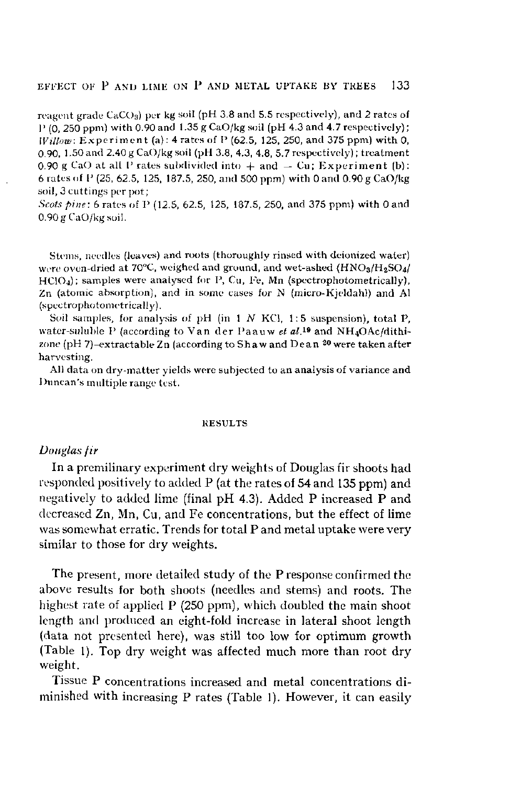reagent grade  $CaCO<sub>3</sub>$ ) per kg soil (pH 3.8 and 5.5 respectively), and 2 rates of  $P(0, 250 \text{ ppm})$  with 0.90 and 1.35 g CaO/kg soil (pH 4.3 and 4.7 respectively); *Willow:* Experiment (a): 4 rates of P (62.5, 125, 250, and 375 ppm) with 0, 0.90, 1.50 and 2.40 g CaO/kg soil (pH 3.8, 4.3, 4.8, 5.7 respectively) ; treatment 0.90 g CaO at all P rates subdivided into  $+$  and  $-$  Cu; Experiment (b): 6 rates of  $P(25, 62.5, 125, 187.5, 250,$  and 500 ppm) with 0 and 0.90 g CaO/kg soil, 3 cuttings per pot;

*Scots pine:* 6 rates of P (12.5, 62.5, 125, 187.5, 250, and 375 ppm) with 0 and 0.90 g CaO/kg soil.

Stems, needles (leaves) and roots (thoroughly rinsed with deionized water) were oven-dried at 70°C, weighed and ground, and wet-ashed  $(HNO<sub>3</sub>/H<sub>2</sub>SO<sub>4</sub>/$  $HClO<sub>4</sub>$ ); samples were analysed for P, Cu, Fe, Mn (spectrophotometrically), Zn (atomic absorption), and in some cases for N (micro-Kjeldahl) and Al (spectrophotometrically).

Soil samples, for analysis of pH (in 1 N KCl, 1:5 suspension), total P, water-suluble P (according to Van der Paauw et al.<sup>19</sup> and NH<sub>4</sub>OAc/dithizone (pH 7)–extractable Zn (according to Shaw and Dean  $^\mathrm{20}$  were take harvesting.

All data on dry-matter yields were subjected to an analysis of variance and Duncan's multiple range test.

#### RESULTS

# *Douglas fir*

In a premilinary experiment dry weights of Douglas fir shoots had responded positively to added P (at the rates of 54 and 135 ppm) and negatively to added lime (final pH 4.3). Added P increased P and decreased Zn, Mn, Cu, and Fe concentrations, but the effect of lime was somewhat erratic. Trends for total P and metal uptake were very similar to those for dry weights.

The present, more detailed study of the P response confirmed the above results for both shoots (needles and stems) and roots. The highest rate of applied P (250 ppm), which doubled the main shoot length and produced an eight-fold increase in lateral shoot length (data not presented here), was still too low for optimum growth (Table 1). Top dry weight was affected much more than root dry weight.

Tissue P concentrations increased and metal concentrations diminished with increasing P rates (Table 1). However, it can easily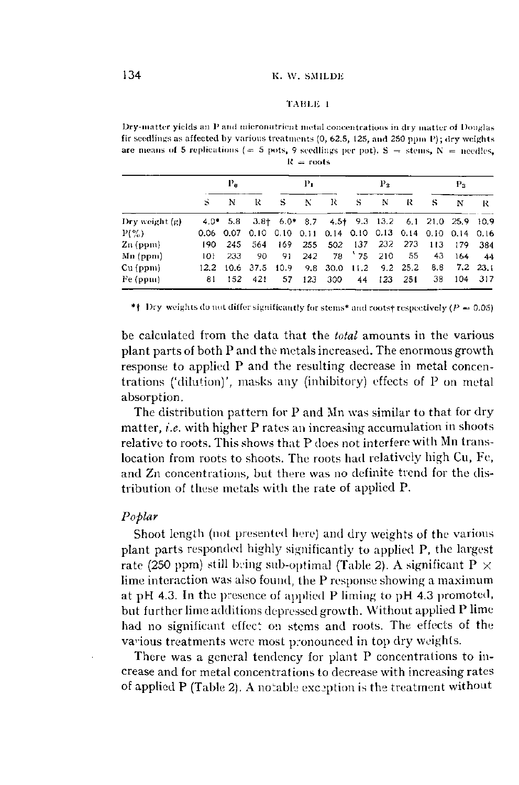### TAISUi 1

Dry-matter yields an P and micronutrient metal concentrations in dry matter of Douglas fir seedlings as affected by various treatments (0, 62.5, 125, and 250 ppm *V)* ; dry weights are means of 5 replications (= 5 pots, 9 seedlings per pot).  $S =$  stems,  $N =$  needles,  $R = \text{roots}$ 

|                  | $P_{\rm{u}}$ |      |                                                             |         | Рı  |                        |   | $P_{2}$   |      |       | P.    |          |  |
|------------------|--------------|------|-------------------------------------------------------------|---------|-----|------------------------|---|-----------|------|-------|-------|----------|--|
|                  | S            | N    | R                                                           | S       | N   | R                      | S | N         | R    | S     | N     | R        |  |
| Dry weight $(g)$ |              |      | 4.0* 5.8 3.8† 6.0* 8.7 4.5† 9.3 13.2 6.1 21.0 25.9 10.9     |         |     |                        |   |           |      |       |       |          |  |
| $P(\%)$          |              |      | 0.06 0.07 0.10 0.10 0.11 0.14 0.10 0.13 0.14 0.10 0.14 0.16 |         |     |                        |   |           |      |       |       |          |  |
| $Zn$ (ppm)       | 190.         | -245 |                                                             | 564 169 |     | 255 502 137 232 273    |   |           |      | - 113 | - 179 | - 384    |  |
| $Mn$ (ppm)       | 101          | 233  | 90                                                          | -91     | 242 |                        |   | 78 75 210 | - 55 | -43   | 164   | - 44     |  |
| $Cu$ (ppm)       |              |      | 12.2 10.6 37.5 10.9                                         |         |     | 9.8 30.0 11.2 9.2 25.2 |   |           |      | 8.8   |       | 7.2 23.1 |  |
| Fe (ppm)         | 81.          | 152  | 421                                                         | 57      | 123 | 300-                   |   | 44 123    | 251  | -38   | 104.  | - 317    |  |

\*\* Dry weights do not differ significantly for stems\* and roots† respectively  $(P = 0.05)$ 

be calculated from the data that the *total* amounts in the various plant parts of both P and the metals increased. The enormous growth response to applied P and the resulting decrease in metal concentrations ('dilution)', masks any (inhibitory) effects of P on metal absorption.

The distribution pattern for P and Mn was similar to that for dry matter, *i.e.* with higher P rates an increasing accumulation in shoots relative to roots. This shows that P does not interfere with Mn translocation from roots to shoots. The roots had relatively high Cu, Fe, and Zn concentrations, but there was no definite trend for the distribution of these metals with the rate of applied P.

# *Poplar*

Shoot length (not presented here) and dry weights of the various plant parts responded highly significantly to applied P, the largest rate (250 ppm) still being sub-optimal (Table 2). A significant P  $\times$ lime interaction was also found, the P response showing a maximum at pH 4.3. In the presence of applied P liming to pH 4.3 promoted, but further lime additions depressed growth. Without applied P lime had no significant effect on stems and roots. The effects of the various treatments were most pronounced in top dry weights.

There was a general tendency for plant P concentrations to increase and for metal concentrations to decrease with increasing rates of applied P (Table 2). A notable exception is the treatment without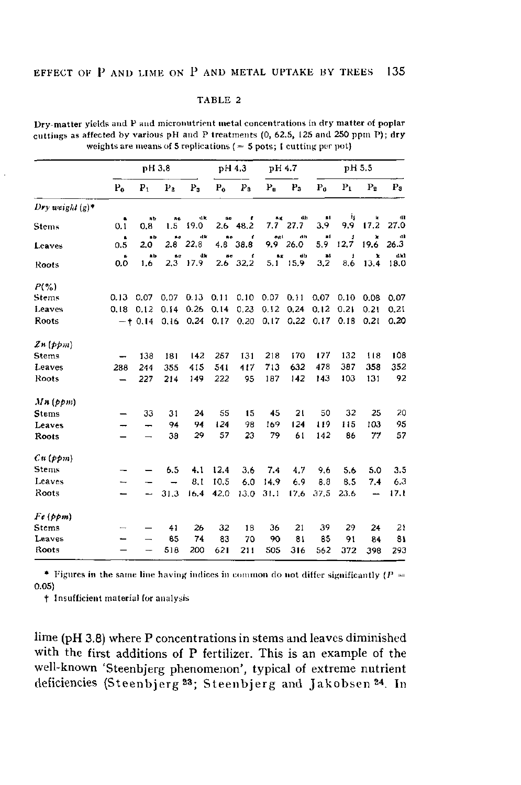| Dry-matter yields and P and micronutrient metal concentrations in dry matter of poplar |
|----------------------------------------------------------------------------------------|
| cuttings as affected by various pH and P treatments (0, 62.5, 125 and 250 ppm P); dry  |
| weights are means of 5 replications $(= 5 \text{ pots}; 1 \text{ cutting per pot})$    |

|                      |       | pH 3.8              |                |                                |                        | pH 4.3                |                 | pH 4.7         |           | ph 5.5        |                |              |
|----------------------|-------|---------------------|----------------|--------------------------------|------------------------|-----------------------|-----------------|----------------|-----------|---------------|----------------|--------------|
|                      | $P_0$ | P <sub>1</sub>      | P <sub>2</sub> | P <sub>2</sub>                 | $P_0$                  | P <sub>3</sub>        | $P_0$           | P <sub>3</sub> | $P_0$     | $P_1$         | P <sub>2</sub> | $P_3$        |
| Dry weight $(g)^*$   |       |                     |                |                                |                        |                       |                 |                |           |               |                |              |
| <b>Stems</b>         | 0.1   | n b<br>0.8          | a c<br>1.5     | 4k<br>19.0                     | $\mathbf{a}$ e         | 2.6 48.2              | a g<br>7.7      | dh<br>27.7     | 81<br>3.9 | 4<br>9,9      | k<br>17.2      | œ<br>27.0    |
| Leaves               | 0.5   | ab.<br>2.0          | βø<br>2.8      | dk<br>22,8                     | ٨o                     | t<br>4.8 38.8         | $\sigma\alpha1$ | dh<br>9.9 26.0 | 81<br>5.9 | Ĵ<br>12.7     | ×<br>19.6      | dl<br>26.3   |
| Roots                | 0.0   | $\mathbf{a}$<br>1.6 | 60<br>2,3      | dk<br>17.9                     | $\mathbf{a}\mathbf{e}$ | $\cdot$<br>$2.6$ 32.2 | a.g             | dh<br>5.1 15.9 | 21<br>3,2 | ŧ<br>8.6      | x<br>13.4      | a kl<br>18.0 |
| $P(\%)$              |       |                     |                |                                |                        |                       |                 |                |           |               |                |              |
| <b>Stems</b>         | 0.13  | 0.07                | 0.07           | 0.13                           | 0.11                   | 0.10                  | $0.07$ $0.11$   |                |           | $0.07$ $0.10$ | 0.08           | 0.07         |
| Leaves               | 0.18  | 0.12                | 0.14           | 0.26                           | 0.14                   | 0.23                  | 0.12            | 0,24           | 0.12      | 0.21          | 0.21           | 0.21         |
| Roots                |       |                     |                | $-$ + 0.14 0.16 0.24 0.17 0.20 |                        |                       |                 | $0,17$ 0.22    |           | $0.17$ $0.18$ | 0.21           | 0,20         |
| $\mathcal{Z}n$ (ppm) |       |                     |                |                                |                        |                       |                 |                |           |               |                |              |
| <b>Stems</b>         |       | 138                 | 181            | 142                            | 257                    | 131                   | 218             | 170            | 177       | 132           | 118            | 108          |
| Leaves               | 288   | 244                 | 355            | 415                            | 541                    | 417                   | 713             | 632            | 478       | 387           | 358            | 352          |
| Roots                |       | 227                 | 214            | 149                            | 222                    | 95                    | 187             | 142            | 143       | 103           | 131            | 92           |
| $Mn$ ( $ppm$ )       |       |                     |                |                                |                        |                       |                 |                |           |               |                |              |
| <b>Stems</b>         |       | 33                  | 31             | 24                             | 55                     | 15                    | 45              | 21             | 50        | 32            | 25             | 20           |
| Leaves               |       |                     | 94             | 94                             | 124                    | 98                    | 169             | 124            | 119       | 115           | 103            | 95           |
| Roots                |       |                     | 38             | 29                             | 57                     | 23                    | 79              | 61             | 142       | 86            | 77             | 57           |
| Cu(ppm)              |       |                     |                |                                |                        |                       |                 |                |           |               |                |              |
| <b>Stems</b>         |       |                     | 6.5            | 4.1                            | 12.4                   | 3.6                   | 7.4             | 4.7            | 9,6       | 5.6           | 5.0            | 3.5          |
| Leaves               | —     |                     |                | 8.1                            | 10.5                   | 6.0                   | 14.9            | 6.9            | 8.8       | 8.5           | 7.4            | 6.3          |
| Roots                |       |                     | 31.3           | 16.4                           | 42.0                   | 13.0                  | 31.1            | 17.6           | 37.5      | 23.6          | —              | 17.1         |
| Fe(ppm)              |       |                     |                |                                |                        |                       |                 |                |           |               |                |              |
| Stems                |       |                     | 41             | 26                             | 32                     | 18                    | 36              | 21             | 39        | 29            | 24             | 21           |
| Leaves               |       |                     | 85             | 74                             | 83                     | 70                    | 90              | 81             | 85        | 91            | 84             | 81           |
| Roots                |       |                     | 518            | 200                            | 621                    | 211                   | 505             | 316            | 562       | 372           | 398            | 293          |

\* Figures in the same line having indices in common do not differ significantly ( $P =$ 0.05)

t Insufficient material for analysis

lime (pH 3.8) where P concentrations in stems and leaves diminished with the first additions of P fertilizer. This is an example of the well-known 'Steenbjerg phenomenon', typical of extreme nutrient deficiencies (Steenbjerg<sup>23</sup>; Steenbjerg and Jakobsen<sup>24</sup>.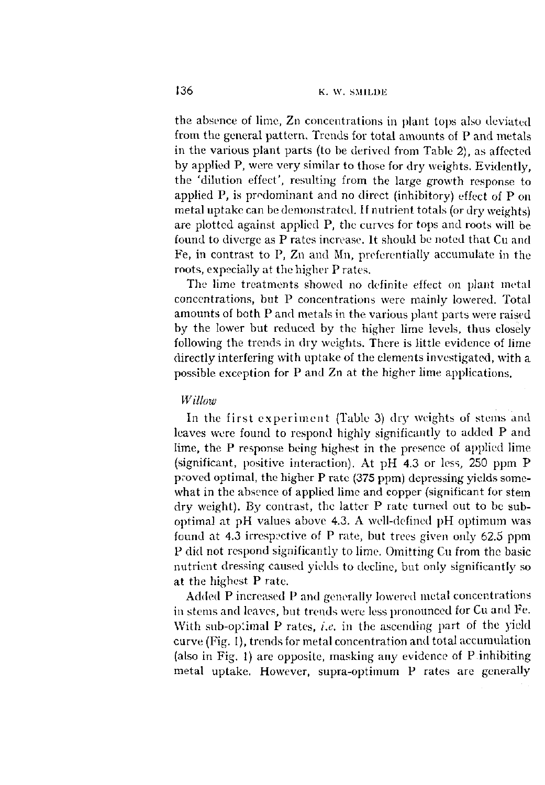the absence of lime, Zn concentrations in plant tops also deviated from the general pattern. Trends for total amounts of P and metals in the various plant parts (to be derived from Table 2), as affected by applied P, were very similar to those for dry weights. Evidently, the 'dilution effect', resulting from the large growth response to applied P, is predominant and no direct (inhibitory) effect of P on metal uptake can be demonstrated. If nutrient totals (or dry weights) are plotted against applied P, the curves for tops and roots will be found to diverge as P rates increase. It should be noted that Cu and Fe, in contrast to P, Zn and Mn, preferentially accumulate in the roots, expecially at the higher P rates.

The lime treatments showed no definite effect on plant metal concentrations, but P concentrations were mainly lowered. Total amounts of both P and metals in the various plant parts were raised by the lower but reduced by the higher lime levels, thus closely following the trends in dry weights. There is little evidence of lime directly interfering with uptake of the elements investigated, with a possible exception for P and Zn at the higher lime applications.

# *Willow*

In the first experiment (Table 3) dry weights of stems and leaves were found to respond highly significantly to added P and lime, the P response being highest in the presence of applied lime (significant, positive interaction). At pH 4.3 or less, 250 ppm P proved optimal, the higher P rate (375 ppm) depressing yields somewhat in the absence of applied lime and copper (significant for stem dry weight). By contrast, the latter P rate turned out to be suboptimal at pH values above 4.3. A well-defined pH optimum was found at 4.3 irrespective of P rate, but trees given only 62.5 ppm P did not respond significantly to lime. Omitting Cu from the basic nutrient dressing caused yields to decline, but only significantly so at the highest P rate.

Added P increased P and generally lowered metal concentrations in stems and leaves, but trends were less pronounced for Cu and Fe. With sub-optimal P rates, *i.e.* in the ascending part of the yield curve (Fig. 1), trends for metal concentration and total accumulation (also in Fig. 1) are opposite, masking any evidence of P inhibiting metal uptake. However, supra-optimum P rates are generally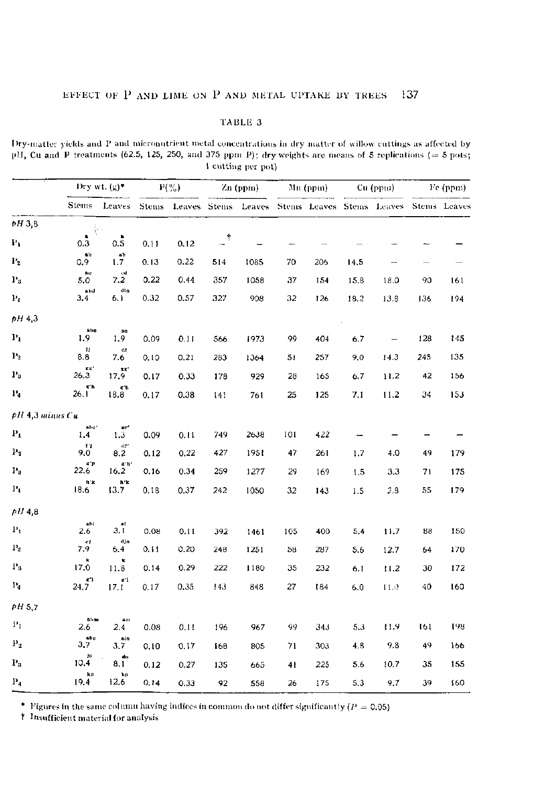Dry-matter yields and P and micronutrient metal concentrations in dry matter of willow cuttings as affected by pH, Cu and P treatments (62.5, 125, 250, and 375 ppm P); dry weights are means of 5 replications ( $=$  5 pots; 1 cutting per pot)

|                 |                                        | Dry wt. $(g)^*$                          |      | $P(^{0}_{70})$ |               | Zn (ppm)                                                         |     | Mn (ppm) |      | Cu (ppm)                 |     | Fe (ppm) |
|-----------------|----------------------------------------|------------------------------------------|------|----------------|---------------|------------------------------------------------------------------|-----|----------|------|--------------------------|-----|----------|
|                 | Stems                                  | Leaves                                   |      |                |               | Stems Leaves Stems Leaves Stems Leaves Stems Leaves Stems Leaves |     |          |      |                          |     |          |
| pH 3,8          | ŀ                                      |                                          |      |                |               |                                                                  |     |          |      |                          |     |          |
| $P_1$           | $\blacksquare$<br>0.3                  | $\blacksquare$<br>0.5                    | 0.11 | 0.12           | $\mathcal{A}$ |                                                                  |     |          |      |                          |     |          |
| P <sub>2</sub>  | $\mathbf{a}$ b<br>0.9                  | ab<br>1.7                                | 0.13 | 0.22           | 514           | 1085                                                             | 70  | 206      | 14.5 |                          |     |          |
| $\mathbf{P}_3$  | be<br>5.0                              | ed<br>7.2                                | 0.22 | 0.44           | 357           | 1058                                                             | 37  | 154      | 15.8 | 18.0                     | 90  | 161      |
| $P_4$           | abd<br>3.4                             | din<br>6. I                              | 0.32 | 0.57           | 327           | 908                                                              | 32  | 126      | 18.2 | 13.8                     | 136 | 194      |
| pH43            |                                        |                                          |      |                |               |                                                                  |     |          |      |                          |     |          |
| $P_1$           | $a$ he<br>1.9                          | a <sub>0</sub><br>1.9                    | 0.09 | 0.11           | 566           | 1973                                                             | 99  | 404      | 6.7  | $\overline{\phantom{0}}$ | 128 | 145      |
| $\mathbf{P}_2$  | и<br>8.8                               | dt<br>7.6                                | 0.10 | 0.21           | 283           | 1364                                                             | 51  | 257      | 9.0  | 14.3                     | 245 | 135      |
| $P_3$           | $\mathbb{R} \times \mathbb{R}$<br>26.3 | $\tt\times \tt R$ .<br>17.9              | 0.17 | 0.33           | 178           | 929                                                              | 28  | 165      | 6.7  | 11.2                     | 42  | 156      |
| $P_4$           | gʻh<br>26.1                            | g h<br>18.8                              | 0.17 | 0.38           | 141           | 761                                                              | 25  | 125      | 7.1  | 11.2                     | 34  | 153      |
| pH 4,3 minus Cu |                                        |                                          |      |                |               |                                                                  |     |          |      |                          |     |          |
| $\mathbf{P}_1$  | abe*<br>1.4                            | $\mathbf{a}$ .<br>1,3                    | 0.09 | 0.11           | 749           | 2638                                                             | 101 | 422      |      |                          |     |          |
| $\mathbf{p}_s$  | n<br>9.0                               | $0\,t^\prime$<br>8.2                     | 0.12 | 0.22           | 427           | 1951                                                             | 47  | 261      | 1.7  | 4.0                      | 49  | 179      |
| $\mathbf{P}_3$  | gʻp<br>22.6                            | a'h'<br>16.2                             | 0.16 | 0.34           | 259           | 1277                                                             | 29  | 169      | 1.5  | 3.3                      | 71  | 175      |
| $P_4$           | h'k<br>18.6                            | h 'k<br>13.7                             | 0.18 | 0.37           | 242           | 1050                                                             | 32  | 143      | 1.5  | 2.8                      | 55  | 179      |
| pH4.8           |                                        |                                          |      |                |               |                                                                  |     |          |      |                          |     |          |
| $P_{1}$         | abi<br>2.6                             | $\ddot{a}$<br>3.1                        | 0.08 | 0.11           | 392           | 1461                                                             | 105 | 400      | 5.4  | 11.7                     | 88  | 150      |
| $\mathbf{P}_2$  | ej<br>7.9                              | djn<br>6.4                               | 0.11 | 0,20           | 248           | 1251                                                             | 58  | 287      | 5.6  | 12.7                     | 64  | 170      |
| $P_5$           | k<br>17.0                              | k<br>11.8                                | 0.14 | 0.29           | 222           | 1180                                                             | 35  | 232      | 6.1  | 11.2                     | 30  | 172      |
| $\mathbf{P}_4$  | $\mathbb{R}^n$<br>24.7                 | $\mathbf{g}^{\prime} \mathbf{1}$<br>17.1 | 0.17 | 0.35           | 143           | 848                                                              | 27  | 184      | 6.0  | 11.0                     | 40  | 160      |
| PH 5.7          |                                        |                                          |      |                |               |                                                                  |     |          |      |                          |     |          |
| $P_1$           | $a \rightarrow n$<br>26                | 4001<br>2.4                              | 0.03 | 0.11           | 196           | 967                                                              | 99  | 343      | 5,3  | 11.9                     | 161 | 198      |
| $\mathbf{p}_2$  | abn<br>3.7                             | ain<br>3.7                               | 0.10 | 0.17           | 168           | 805                                                              | 71  | 303      | 4.8  | 9.8                      | 49  | 166      |
| $\mathbf{P}_3$  | jо<br>10.4                             | do<br>8.1                                | 0.12 | 0.27           | 135           | 665                                                              | 41  | 225      | 5.6  | 10.7                     | 35  | 155      |
| $\mathbf{P}_4$  | kp<br>19.4                             | kp<br>12.6                               | 0.14 | 0.33           | 92            | 558                                                              | 26  | 175      | 5.3  | 9,7                      | 39  | 160      |

\* Figures in the same column having indices in common do not differ significantly ( $P = 0.05$ ) <br>† Insufficient material for analysis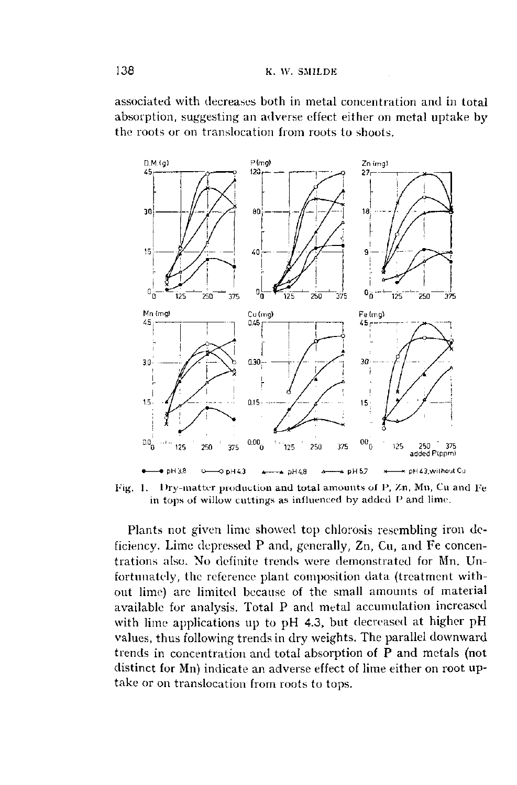associated with decreases both in metal concentration and in total absorption, suggesting an adverse effect either on metal uptake by the roots or on translocation from roots to shoots.



Fig. 1. Dry-matter production and total amounts of *l',* Zn, Mn, Cu and Fe in tops of willow cuttings as influenced by added P and lime.

Plants not given lime showed top chlorosis resembling iron deficiency. Lime depressed P and, generally, Zn, Cu, and Fe concentrations also. No definite trends were demonstrated for Mn. Unfortunately, the reference plant composition data (treatment without lime) are limited because of the small amounts of material available for analysis. Total P and metal accumulation increased with lime applications up to pH 4.3, but decreased at higher pH values, thus following trends in dry weights. The parallel downward trends in concentration and total absorption of P and metals (not distinct for Mn) indicate an adverse effect of lime either on root uptake or on translocation from roots to tops.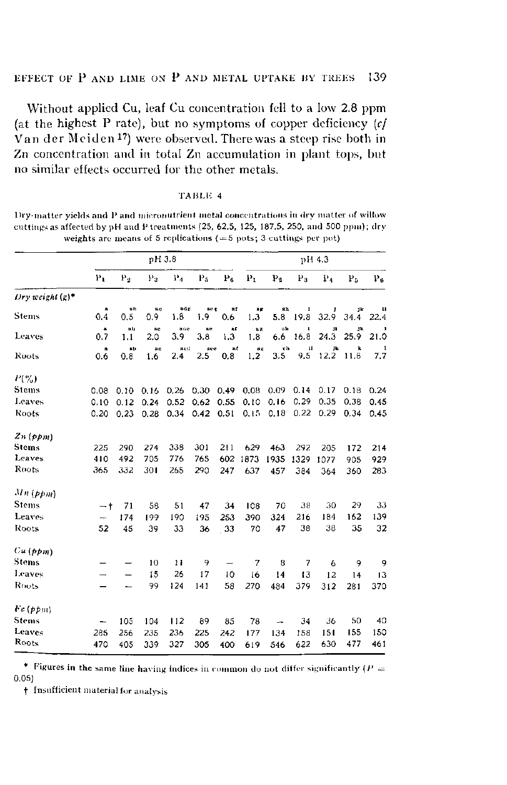Without applied Cu, leaf Cu concentration fell to a low 2.8 ppm (at the highest P rate), but no symptoms of copper deficiency  $cf$ Van der Meiden<sup>17</sup>) were observed. There was a steep rise both in Zn concentration and in total Zn accumulation in plant tops, but no similar effects occurred for the other metals.

| TABLE. |  |  |  |
|--------|--|--|--|
|--------|--|--|--|

Dry-matter yields and P and micronutrient metal concentrations in dry matter of willow cuttings as affected by pH and P treatments (25, 62.5, 125, 187.5, 250, and 500 ppm); dry weights are means of 5 replications  $( = 5$  pots; 3 cuttings per pot)

|                    |                |            | pH 3.8     |            |                         |            | pH 4.3         |                |                            |                      |              |           |  |
|--------------------|----------------|------------|------------|------------|-------------------------|------------|----------------|----------------|----------------------------|----------------------|--------------|-----------|--|
|                    | P <sub>1</sub> | $P_2$      | Р,         | $P_4$      | P <sub>5</sub>          | $P_6$      | P <sub>T</sub> | P <sub>2</sub> | $P_3$                      | $P_{4}$              | $_{\rm P_5}$ | $P_6$     |  |
| Dry weight $(e)^*$ |                |            |            |            |                         |            |                |                |                            |                      |              |           |  |
| Stenis             | 0.4            | ab.<br>0.5 | њe<br>0.9  | ađg<br>1.8 | sec <sub>1</sub><br>1.9 | uf.<br>0.6 | B p<br>1.3     | яh<br>5.8      | 1<br>19.8                  | 32.9                 | jk<br>34.4   | ш<br>22.4 |  |
| Leaves             | 8<br>0.7       | ab-<br>1.1 | a c<br>2.0 | ado<br>3.9 | ae<br>3.8               | a f<br>1.3 | 8g<br>1.8      | n is<br>6.6    | $\pmb{\mathsf{L}}$<br>16.8 | $\mathbf{1}$<br>24.3 | Jk<br>25.9   | п<br>21.0 |  |
| Roots              | a<br>0.6       | a b<br>0.8 | äс<br>1.6  | acd<br>2.4 | açe<br>2.5              | af<br>0.8  | Ag.<br>1.2     | eh<br>3.5      | u<br>9,5                   | Jk<br>12,2           | k<br>11.8    | 7.7       |  |
| $P(\%)$            |                |            |            |            |                         |            |                |                |                            |                      |              |           |  |
| Stems              | 0.08           | 0.10       | 0.16       | 0.26       | 0.30                    | 0.49       | 0.08           | 0.09           | 0.14                       | 0.17                 | 0.18         | 0.24      |  |
| Leaves             | 0.10           | 0.12       | 0.24       | 0.52       | 0.62                    | 0.55       | 0.10           | 0.16           | 0.29                       | 0.35                 | 0.38         | 0.45      |  |
| Roots              | 0.20           | 0.23       | 0.28       | 0.34       | 0.42                    | 0.51       | 0.15           | 0.18           | 0.22                       | 0.29                 | 0.34         | 0.45      |  |
| 2n(ppm)            |                |            |            |            |                         |            |                |                |                            |                      |              |           |  |
| <b>Stems</b>       | 225            | 290        | 274        | 338        | 301                     | 211        | 629            | 463            | 292                        | 205                  | 172          | 214       |  |
| Leaves             | 410            | 492        | 705        | 776        | 765                     | 602        | 1873           | 1935           | 1329                       | 1077                 | 905          | 929       |  |
| Roots              | 365            | 332        | 301        | 265        | 290                     | 247        | 637            | 457            | 384                        | 364                  | 360          | 283       |  |
| $Mn$ (ppm)         |                |            |            |            |                         |            |                |                |                            |                      |              |           |  |
| Stems              | $-+$           | 71         | 58         | 51         | 47                      | 34         | 108            | 70             | 38                         | 30                   | 29           | 33        |  |
| Leaves             | -              | 174        | 199        | 190        | 195                     | 253        | 390            | 324            | 216                        | 184                  | 162          | 139       |  |
| Roots              | 52             | 45         | 39         | 33         | 36                      | 33         | 70             | 47             | 38                         | 38                   | 35           | 32        |  |
| Cu(ppm)            |                |            |            |            |                         |            |                |                |                            |                      |              |           |  |
| <b>Stems</b>       |                |            | 10         | 11         | 9                       |            | 7              | 8              | 7                          | 6                    | 9            | 9         |  |
| Leaves             |                |            | 15         | 26         | 17                      | 10         | 16             | 14             | 13                         | 12                   | 14           | 13        |  |
| Roots              |                |            | 99         | 124        | 141                     | 58         | 270            | 484            | 379                        | 312                  | 261          | 370       |  |
| Fe(ppm)            |                |            |            |            |                         |            |                |                |                            |                      |              |           |  |
| <b>Stems</b>       |                | 105        | 104        | 112        | 89                      | 85         | 78             |                | 34                         | 36                   | 50           | 40        |  |
| Leaves             | 285            | 256        | 235        | 236        | 225                     | 242        | 177            | 134            | 158                        | 151                  | 155          | 150       |  |
| Roots              | 470            | 405        | 339        | 327        | 305                     | 400        | 619            | 546            | 622                        | 630                  | 477          | 461       |  |

\* Figures in the same line having indices in common do not differ significantly ( $P =$  $0.051$ 

+ Insufficient material for analysis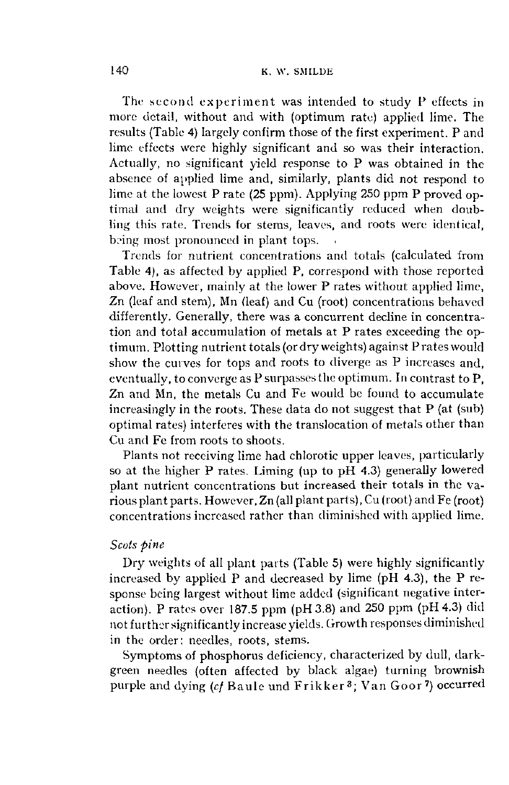The second experiment was intended to study P effects in more detail, without and with (optimum rate) applied lime. The results (Table 4) largely confirm those of the first experiment. P and lime effects were highly significant and so was their interaction. Actually, no significant yield response to P was obtained in the absence of applied lime and, similarly, plants did not respond to lime at the lowest P rate (25 ppm). Applying 250 ppm P proved optimal and dry weights were significantly reduced when doubling this rate. Trends for stems, leaves, and roots were identical, being most pronounced in plant tops.

Trends for nutrient concentrations and totals (calculated from Table 4), as affected by applied P, correspond with those reported above. However, mainly at the lower P rates without applied lime, Zn (leaf and stem), Mn (leaf) and Cu (root) concentrations behaved differently. Generally, there was a concurrent decline in concentration and total accumulation of metals at P rates exceeding the optimum. Plotting nutrient totals (or dry weights) against Prates would show the curves for tops and roots to diverge as P increases and, eventually, to converge as P surpasses the optimum. In contrast to P, Zn and Mn, the metals Cu and Fe would be found to accumulate increasingly in the roots. These data do not suggest that P (at (sub) optimal rates) interferes with the translocation of metals other than Cu and Fe from roots to shoots.

Plants not receiving lime had chlorotic upper leaves, particularly so at the higher P rates. Liming (up to pH 4.3) generally lowered plant nutrient concentrations but increased their totals in the various plant parts. However, Zn (all plant parts), Cu (root) and Fe (root) concentrations increased rather than diminished with applied lime.

# *Scots pine*

Dry weights of all plant parts (Table 5) were highly significantly increased by applied P and decreased by lime (pH 4.3), the P response being largest without lime added (significant negative interaction). P rates over 187.5 ppm (pH3.8) and 250 ppm (pH 4.3) did not further significantly increase yields. Growth responses diminished in the order: needles, roots, stems.

Symptoms of phosphorus deficiency, characterized by dull, darkgreen needles (often affected by black algae) turning brownish purple and dying (cf Baule und Frikker<sup>3</sup>; Van Goor<sup>7</sup>) occu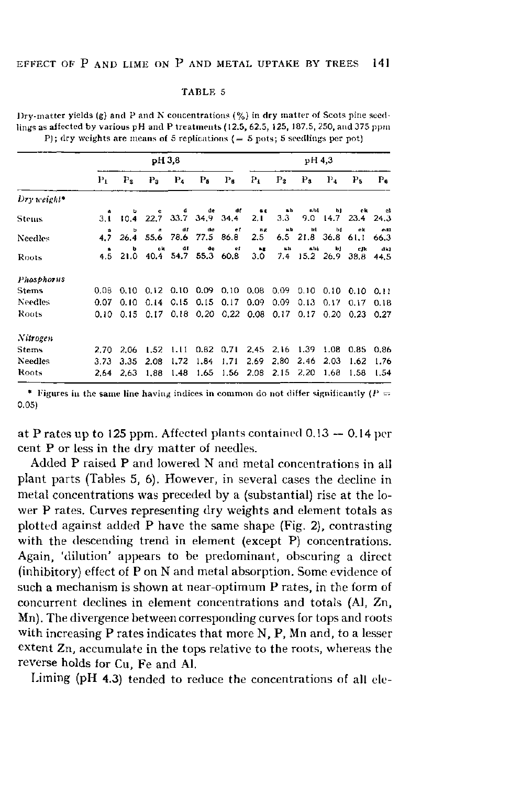|                |         |                | pH 3.8                             |                   |                      |                                    |                     |                       | pH 4,3                   |                |             |              |
|----------------|---------|----------------|------------------------------------|-------------------|----------------------|------------------------------------|---------------------|-----------------------|--------------------------|----------------|-------------|--------------|
|                | $P_{L}$ | P <sub>2</sub> | P <sub>3</sub>                     | $P_4$             | $P_{\delta}$         | $\mathbf{P}_{\mathbf{G}}$          | $P_1$               | P <sub>2</sub>        | $P_3$                    | $\Gamma_4$     | Ps          | $P_{\rm fl}$ |
| $Dry weight*$  |         |                |                                    |                   |                      |                                    |                     |                       |                          |                |             |              |
| Stenus         | 3.1     | 10.4           | c.<br>22.7                         | d                 | de<br>33.7 34.9 34.4 | at                                 | 68<br>2.1           | $\blacksquare$<br>3.3 | ab1                      | h1<br>9.0 14.7 | ek.<br>23.4 | c.<br>24.3   |
| Needles        | 4.7     | ъ<br>26.4      |                                    | ar.<br>55.6 78.6  | dø<br>77.5 86.8      | ef                                 | 我读<br>$2.5\,$       | $th$                  | ы<br>6.5 21.8 36.8 61.1  | ы              | ek          | edl<br>66.3  |
| Roots          | 4.5     | b<br>21.0      | ck.                                | ar<br>40.4 54.7   | de                   | ef<br>55.3 60.8                    | $\mathbf{a}$<br>3.0 | <b>M.T.</b><br>7.4    | alıi<br>$15.2$ 26.9 38.8 | bj             | eJk         | dk)<br>44.5  |
| Phosphorus     |         |                |                                    |                   |                      |                                    |                     |                       |                          |                |             |              |
| <b>Steins</b>  | 0.08    |                | 0.10 0.12 0.10 0.09 0.10 0.08 0.09 |                   |                      |                                    |                     |                       | $0.10\quad 0.10$         |                | 0.10        | 0.11         |
| <b>Needles</b> | 0.07    | 0.10           |                                    | $0.14 \quad 0.15$ |                      | $0.15$ $0.17$ $0.09$               |                     | 0.09                  | 0.13                     | 0.17           | 0.17        | 0.18         |
| Roots          | 0.10    | 0.15           | $0.17 -$                           | 0.18              |                      | $0.20$ $0.22$ $0.08$ $0.17$ $0.17$ |                     |                       |                          | 0.20           | 0.23        | 0.27         |
| Nitrogen       |         |                |                                    |                   |                      |                                    |                     |                       |                          |                |             |              |
| <b>Steins</b>  | 2.70    | 2.06           | 1.52                               | -1.11             |                      | $0.82$ $0.71$ $2.45$ $2.16$        |                     |                       | 1.39                     | 1.08           | 0.85        | 0.86         |
| Needles        | 3.73    | 3.35           | 2.08                               | 1.72              | 1.84                 | 1.71                               | 2.69                | 2.80                  | 2.46                     | 2.03           | 1.62        | 1.76         |
| Roots          | 2.64    | 2.63           | 1.88                               | 1.48              | 1.65                 |                                    |                     | 1.56 2.08 2.15 2.20   |                          | 1,68           | 1.58        | 1.54         |

Dry-matter yields (g) and P and N concentrations  $(\%)$  in dry matter of Scots pine seedlings as affected by various pH and P treatments (12.5, 62.5, 125, 187.5, 250, and 375 ppm P); dry weights are means of 5 replications  $( = 5 \text{ pots}; 5 \text{ seedlings per pot})$ 

\* Figures in the same line having indices in common do not differ significantly ( $P =$  $0.05)$ 

at P rates up to 125 ppm. Affected plants contained  $0.13 - 0.14$  per cent P or less in the dry matter of needles.

Added P raised P and lowered N and metal concentrations in all plant parts (Tables 5, 6). However, in several cases the decline in metal concentrations was preceded by a (substantial) rise at the lower P rates. Curves representing dry weights and element totals as plotted against added P have the same shape (Fig. 2), contrasting with the descending trend in element (except P) concentrations. Again, 'dilution' appears to be predominant, obscuring a direct (inhibitory) effect of P on N and metal absorption. Some evidence of such a mechanism is shown at near-optimum P rates, in the form of concurrent declines in element concentrations and totals (Al, Zn, Mn). The divergence between corresponding curves for tops and roots with increasing P rates indicates that more N, P, Mn and, to a lesser extent Zn, accumulate in the tops relative to the roots, whereas the reverse holds for Cu. Fe and Al.

Liming (pH 4.3) tended to reduce the concentrations of all ele-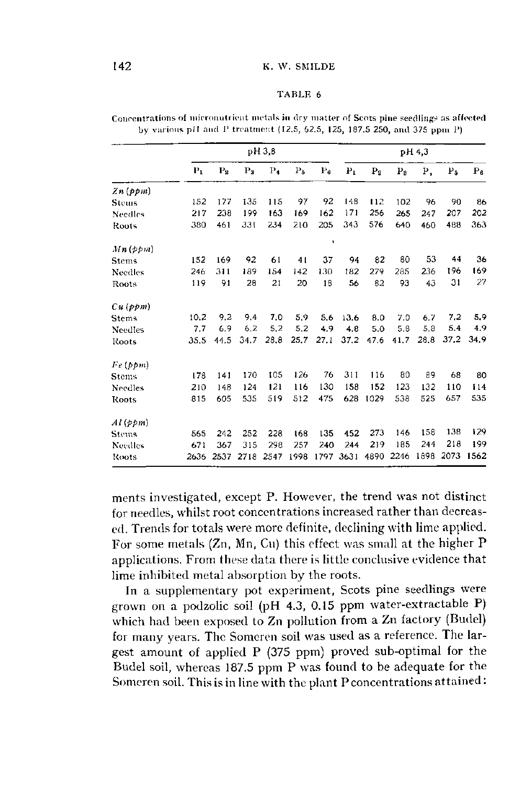|                |       |                  |       | pH 3,8 |       |                |         |                |       | pH 4.3 |      |             |
|----------------|-------|------------------|-------|--------|-------|----------------|---------|----------------|-------|--------|------|-------------|
|                | $P_1$ | $P_{\mathbf{S}}$ | $P_3$ | $P_4$  | $P_5$ | $P_{\epsilon}$ | $P_{L}$ | P <sub>2</sub> | $P_3$ | Ρ,     | P5   | $P_{\beta}$ |
| Zn (ppm)       |       |                  |       |        |       |                |         |                |       |        |      |             |
| <b>Stems</b>   | 152   | 177              | 135   | 115    | 97    | 92             | 148     | 112            | 102   | 96     | 90   | 86          |
| <b>Needles</b> | 217   | 238              | 199   | 163    | 169   | 162            | 171     | 256            | 265   | 247    | 207  | 202         |
| Roots          | 380   | 461              | 331   | 234    | 210   | 205            | 343     | 576            | 640   | 460    | 488  | 363         |
| $Mn$ (ppm)     |       |                  |       |        |       | Ŷ.             |         |                |       |        |      |             |
| <b>Stems</b>   | 152   | 169              | 92    | 61     | 41    | 37             | 94      | 82             | 80    | 53     | 44   | 36          |
| <b>Needles</b> | 246   | 311              | 189   | 154    | 142   | 130            | 182     | 279            | 285   | 236    | 196  | 169         |
| Roots          | 119   | 91               | 28    | 21     | 20    | 18             | 56      | 82             | 93    | 43     | 31   | 27          |
| Cu(ppm)        |       |                  |       |        |       |                |         |                |       |        |      |             |
| <b>Stems</b>   | 10.2  | 9.2              | 9.4   | 7.0    | 5.9   | 5.6            | 13.6    | 8.0            | 7.0   | 6.7    | 7.2  | 5.9         |
| Needles        | 7.7   | 6.9              | 6.2   | 5.2    | 5.2   | 4,9            | 4.8     | 5.0            | 5.8   | 5.8    | 5.4  | 4.9         |
| Roots          | 35.5  | 44.5             | 34.7  | 28.8   | 25,7  | 27.1           | 37.2    | 47.6           | 41.7  | 28.8   | 37.2 | 34.9        |
| Fe~(ppm)       |       |                  |       |        |       |                |         |                |       |        |      |             |
| Stems          | 178   | 141              | 170   | 105    | 126   | 76             | 311     | 116            | 80    | 89     | 68   | 80          |
| Needles        | 210   | 148              | 124   | 121    | 116   | 130            | 158     | 152            | 123   | 132    | 110  | 114         |
| Roots          | 815   | 605              | 535   | 519    | 512   | 475            | 628     | 1029           | 538   | 525    | 657  | 535         |
| Ai(ppm)        |       |                  |       |        |       |                |         |                |       |        |      |             |
| <b>Stems</b>   | 565   | 242              | 252   | 228    | 168   | 135            | 452     | 273            | 146   | 158    | 138  | 129         |
| <b>Needles</b> | 671   | 367              | 315   | 298    | 257   | 240            | 244     | 219            | 185   | 244    | 218  | 199         |
| Roots          | 2636  | 2537             | 2718  | 2547   | 1998  | 1797           | 3631    | 4890           | 2246  | 1898   | 2073 | 1562        |

Concentrations of micronutrient metals in dry matter of Scots pine seedlings as affected by various pH and P treatment (12.5, 62.5, 125, 187.5 250, and 375 ppm P)

ments investigated, except P. However, the trend was not distinct for needles, whilst root concentrations increased rather than decreased. Trends for totals were more definite, declining with lime applied. For some metals (Zn, Mn, Cu) this effect was small at the higher P applications. From these data there is little conclusive evidence that lime inhibited metal absorption by the roots.

In a supplementary pot experiment, Scots pine seedlings were grown on a podzolic soil (pH 4.3, 0.15 ppm water-extractable P) which had been exposed to Zn pollution from a Zn factory (Budel) for many years. The Somcren soil was used as a reference. The largest amount of applied P (375 ppm) proved sub-optimal for the Budel soil, whereas 187.5 ppm P was found to be adequate for the Someren soil. This is in line with the plant P concentrations attained :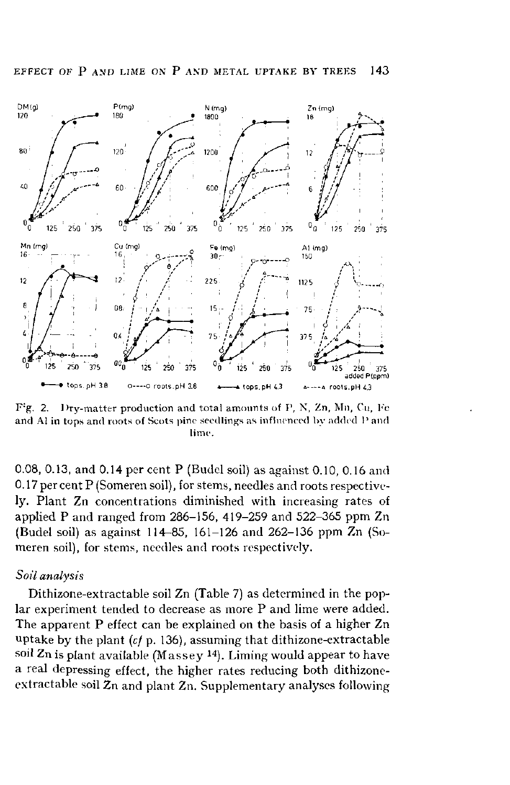

F : Dry-matter production and total amounts of P, N, Zn, Mn, Cu, Fe and Al in tops and roots of Scots pine seedlings as influenced by added  ${\rm P}$  and lime.

0.08, 0.13, and 0.14 per cent P (Budel soil) as against 0.10, 0.16 and 0.17 per cent P (Someren soil), for stems, needles and roots respectively. Plant Zn concentrations diminished with increasing rates of applied P and ranged from 286-156, 419-259 and 522-365 ppm Zn (Budel soil) as against 114-85, 161-126 and 262-136 ppm Zn (Someren soil), for stems, needles and roots respectively.

# *Soil analysis*

Dithizone-extractable soil Zn (Table 7) as determined in the poplar experiment tended to decrease as more P and lime were added. The apparent P effect can be explained on the basis of a higher Zn uptake by the plant  $(cf$  p. 136), assuming that dithizone-extractable soil  $Z$ n is plant available (Massey  $^{14}$ ). Liming would appear t a real depressing effect, the higher rates reducing both dithizoneextractable soil  $Zn$  and plant  $Zn$ . Supplementary analyses following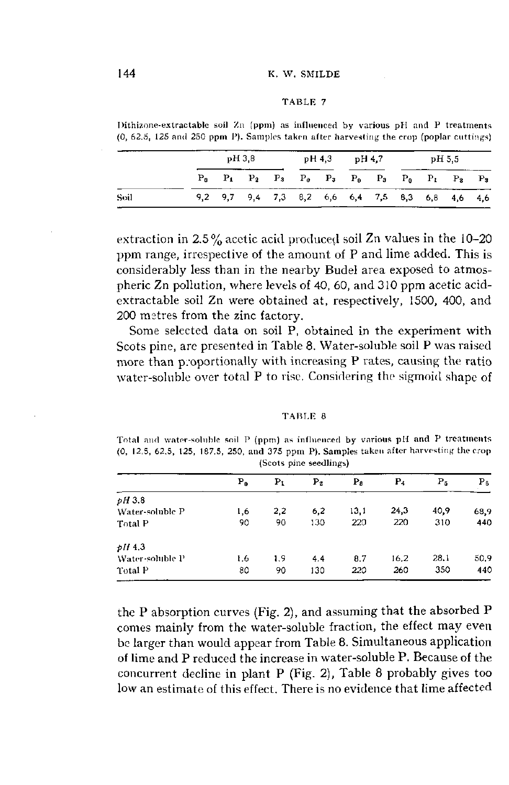Dithizone-extractable soil Zn (ppm) as influenced by various pH and P treatments (0, 62.5, 125 and 250 ppm P). Samples taken after harvesting the crop (poplar cuttings)

|      | pH 3.8 |                                                                         |  |  |  | pH 4,3 pH 4.7 |  |  | pH 5.5 |  |  |  |
|------|--------|-------------------------------------------------------------------------|--|--|--|---------------|--|--|--------|--|--|--|
|      |        | $P_0$ $P_1$ $P_2$ $P_3$ $P_0$ $P_3$ $P_0$ $P_3$ $P_0$ $P_1$ $P_2$ $P_3$ |  |  |  |               |  |  |        |  |  |  |
| Soil |        | 9,2 9,7 9,4 7,3 8,2 6,6 6,4 7,5 8,3 6,8 4,6 4,6                         |  |  |  |               |  |  |        |  |  |  |

extraction in  $2.5\%$  acetic acid produced soil Zn values in the 10-20 ppm range, irrespective of the amount of P and lime added. This is considerably less than in the nearby Budel area exposed to atmospheric Zn pollution, where levels of 40, 60, and 310 ppm acetic acidextractable soil Zn were obtained at, respectively, 1500, 400, and 200 metres from the zinc factory.

Some selected data on soil P, obtained in the experiment with Scots pine, are presented in Table 8. Water-soluble soil P was raised more than proportionally with increasing P rates, causing the ratio water-soluble over total P to rise. Considering the sigmoid shape of

| TABLE 8 |  |  |  |
|---------|--|--|--|
|---------|--|--|--|

Total and water-soluble soil P (ppm) as influenced by various pH and P treatments (0, 12.5, 62.5, 125, 187.5, 250, and 375 ppm P). Samples taken after harvesting the crop (Scots pine seedlings)

|                 | $P_0$ | $\mathbf{P_{I}}$ | $P_2$ | $P_{\rm fl}$ | P <sub>4</sub> | P5   | $P_{\beta}$ |
|-----------------|-------|------------------|-------|--------------|----------------|------|-------------|
| pH3.8           |       |                  |       |              |                |      |             |
| Water-soluble P | 1.6   | 2,2              | 6,2   | 13,1         | 24,3           | 40.9 | 68,9        |
| Total P         | 90    | 90               | 130   | 220          | 220            | 310  | 440         |
| $pH$ 4.3        |       |                  |       |              |                |      |             |
| Water-soluble P | 1.6   | 1.9              | 4.4   | 8.7          | 16.2           | 28.1 | 50.9        |
| Total P         | 80    | 90               | 130   | 220          | 260            | 350  | 440         |

the P absorption curves (Fig. 2), and assuming that the absorbed P comes mainly from the water-soluble fraction, the effect may even be larger than would appear from Table 8. Simultaneous application of lime and P reduced the increase in water-soluble P. Because of the concurrent decline in plant P (Fig. 2), Table 8 probably gives too low an estimate of this effect. There is no evidence that lime affected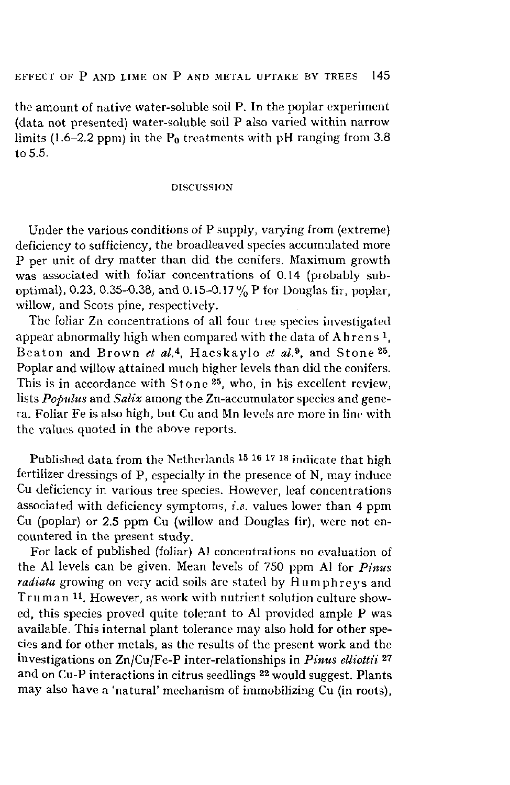the amount of native water-soluble soil P. In the poplar experiment (data not presented) water-soluble soil P also varied within narrow limits (1.6-2.2 ppm) in the P<sub>0</sub> treatments with pH ranging from 3.8 to 5.5.

### DISCUSSION

Under the various conditions of P supply, varying from (extreme) deficiency to sufficiency, the broadleaved species accumulated more P per unit of dry matter than did the conifers. Maximum growth was associated with foliar concentrations of 0.14 (probably suboptimal), 0.23, 0.35-0.38, and 0.15-0.17% P for Douglas fir, poplar, willow, and Scots pine, respectively.

The foliar Zn concentrations of all four tree species investigated appear abnormally high when compared with the data of Ahre Beaton and Brown *et al.*<sup>4</sup>, Hacskaylo *et al.*<sup>9</sup>, and Stor Poplar and willow attained much higher levels than did the conifers. This is in accordance with Stone  $25$ , who, in his excellent re lists *Populus* and *Salix* among the Zn-accumulator species and genera. Foliar Fe is also high, but Cu and Mn levels are more in line with the values quoted in the above reports.

Published data from the Netherlands <sup>15 16</sup> <sup>17 18</sup> indicate tha fertilizer dressings of P, especially in the presence of N, may induce Cu deficiency in various tree species. However, leaf concentrations associated with deficiency symptoms, *i.e.* values lower than 4 ppm Cu (poplar) or 2.5 ppm Cu (willow and Douglas fir), were not encountered in the present study.

For lack of published (foliar) Al concentrations no evaluation of the Al levels can be given. Mean levels of 750 ppm Al for *Pinus*  radiata growing on very acid soils are stated by Humphreys and Truman <sup>11</sup>. However, as work with nutrient solution culture s ed, this species proved quite tolerant to Al provided ample P was available. This internal plant tolerance may also hold for other species and for other metals, as the results of the present work and the investigations on Zn/Cu/Fe-P inter-relationships in *Pinus elliottii*<sup>27</sup> and on Cu-P interactions in citrus seedlings  $^{22}$  would suggest. F may also have a 'natural' mechanism of immobilizing Cu (in roots).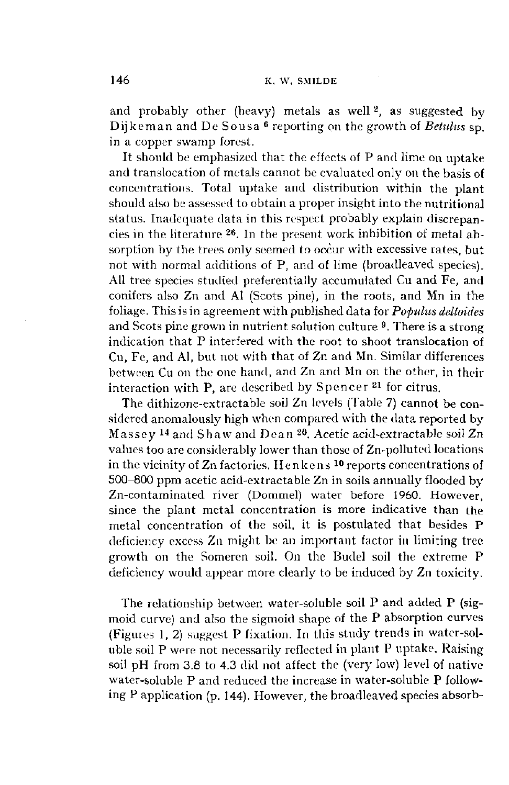and probably other (heavy) metals as well<sup>2</sup>, as suggeste Dijkeman and De Sousa <sup>6</sup> reporting on the growth of *Betu* in a copper swamp forest.

It should be emphasized that the effects of P and lime on uptake and translocation of metals cannot be evaluated only on the basis of concentrations. Total uptake and distribution within the plant should also be assessed to obtain a proper insight into the nutritional status. Inadequate data in this respect probably explain discrepancies in the literature <sup>26</sup>. In the present work inhibition of me sorption by the trees only seemed to occur with excessive rates, but not with normal additions of P, and of lime (broadleaved species). All tree species studied preferentially accumulated Cu and Fe, and conifers also Zn and Al (Scots pine), in the roots, and Mn in the foliage. This is in agreement with published data for *Populus deltoïdes*  and Scots pine grown in nutrient solution culture <sup>9</sup>. There is a indication that P interfered with the root to shoot translocation of Cu, Fe, and Al, but not with that of Zn and Mn. Similar differences between Cu on the one hand, and Zn and Mn on the other, in their interaction with P, are described by <code>Spencer</code>  $^{21}$  for ci

The dithizone-extractable soil Zn levels (Table 7) cannot be considered anomalously high when compared with the data reported by Massey <sup>14</sup> and Shaw and Dean <sup>20</sup>. Acetic acid-extractable values too are considerably lower than those of Zn-polluted locations in the vicinity of Zn factories. Henkens <sup>10</sup> reports concentrati 500-800 ppm acetic acid-extractable Zn in soils annually flooded by Zn-contaminated river (Dommel) water before 1960. However, since the plant metal concentration is more indicative than the metal concentration of the soil, it is postulated that besides P deficiency excess Zn might be an important factor in limiting tree growth on the Someren soil. On the Budel soil the extreme P deficiency would appear more clearly to be induced by Zn toxicity.

The relationship between water-soluble soil P and added P (sigmoid curve) and also the sigmoid shape of the P absorption curves (Figures 1, 2) suggest P fixation. In this study trends in water-soluble soil P were not necessarily reflected in plant P uptake. Raising soil pH from 3.8 to 4.3 did not affect the (very low) level of native water-soluble P and reduced the increase in water-soluble P following P application (p. 144). However, the broadleaved species absorb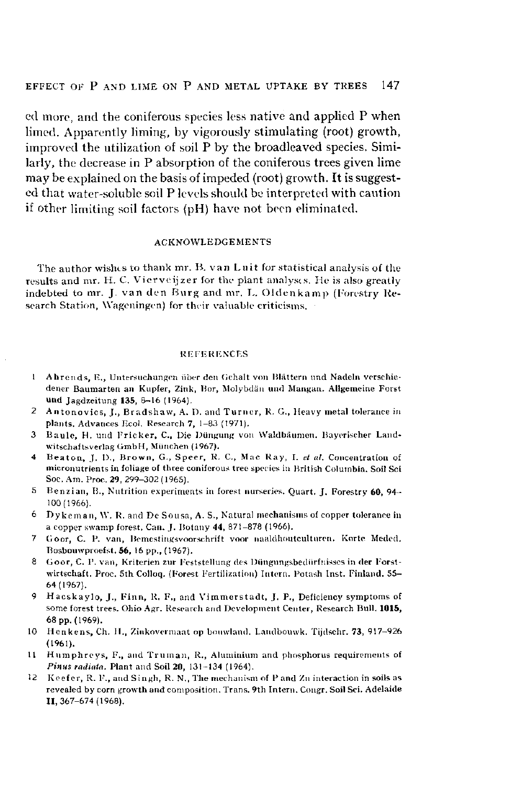cd more, and the coniferous species less native and applied P when limed. Apparently liming, by vigorously stimulating (root) growth, improved the utilization of soil P by the broadleaved species. Similarly, the decrease in P absorption of the coniferous trees given lime may be explained on the basis of impeded (root) growth. It is suggested that water-soluble soil P levels should be interpreted with caution if other limiting soil factors (pH) have not been eliminated.

### ACKNOWLEDGEMENTS

The author wishes to thank mr. B. van Luit for statistical analysis of the results and mr. H. C. Vierveijzer for the plant analyses. He is also greatly indebted to mr. J. van den Burg and mr. L. Oldenkamp (Forestry Research Station, Wageningen) for their valuable criticisms.

### **REFERENCES**

- 1 Ahrends, E., Untersuchungen über den Gehalt von Blättern und Nadeln verschiedener Baumarten an Kupfer, Zink, Bor, Molybdän und Mangan. Allgemeine Forst und Jagdzeitung 135, 8-16 (1964).
- 2 Antonovics, J., Bradshaw, A. 1). and Turner, K. G., Heavy metal tolerance in plants. Advances Ecol. Research 7, 1-83 (1971).
- 3 Baule, H. und Frickcr, C, Die Düngung von Waldbäumen. Bayerischer Landwitschaftsverlag GmbH, München (1967).
- 4 Beaton, J. D., Brown, G., Speer, R. C, Mac Ray, I. *et al.* Concentration of micronutrients in foliage of three coniferous tree species in British Columbia. Soil Sei Soc. Am. Proc. 29, 299-302 (1965).
- 5 Benzian, B., Nutrition experiments in forest nurseries. Quart. J. Forestry  $60$ ,  $94-$ 100(1966).
- 6 Dy keman, *\\'.* R. and De Sousa, A. S., Natural mechanisms of copper tolerance in a copper swamp forest. Can. J. Botany 44, 871-878 (1966).
- 7 Goor, C. P. van, Bemestingsvoorschrift voor naaldhoutculturcn. Korte Meded. Bosbouwproefst. 56, 16 pp., (1967).
- 8 Goor, C. P. van, Kriterien zur Feststellung des Düngungsbedürfnisses in der Forstwirtschaft. Proc. 5th Colloq. (Forest Fertilization) Intern. Potash Inst. Finland. 55- 64(1967).
- 9 Hacskaylo, J., Finn, R. F., and Vimmerstadt, J. P., Deficiency symptoms of some forest trees. Ohio Agr. Research and Development Center, Research Bull. 1015, 68 pp. (1969).
- 10 Henkens, Ch. H., Zinkovermaat op bouwland. Landbouwk. Tijdschr. 73, 917-926 (1961).
- 11 Humphreys, F., and Truman, R., Aluminium and phosphorus requirements of *Pinus radiata.* Plant and Soil 20, 131-134 (1964).
- 12 Kcefer, R. F\, and Singh, R. N., The mechanism of P and Zn interaction in soils as revealed by corn growth and composition. Trans. 9th Intern. Congr. Soil Sei. Adelaide 11,367-674(1968).